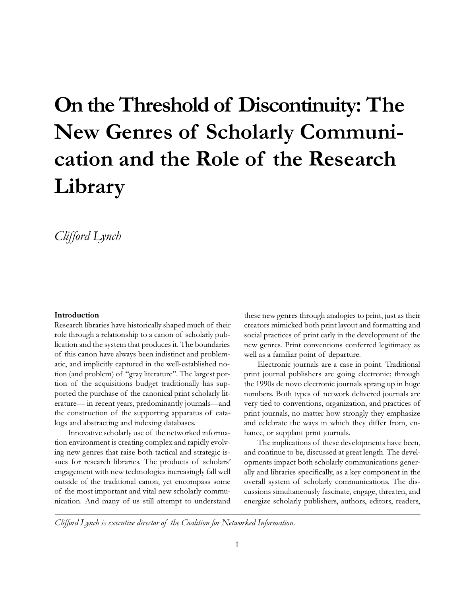# **On the Threshold of Discontinuity: The New Genres of Scholarly Communication and the Role of the Research Library**

*Clifford Lynch*

#### **Introduction**

Research libraries have historically shaped much of their role through a relationship to a canon of scholarly publication and the system that produces it. The boundaries of this canon have always been indistinct and problematic, and implicitly captured in the well-established notion (and problem) of "gray literature". The largest portion of the acquisitions budget traditionally has supported the purchase of the canonical print scholarly literature- in recent years, predominantly journals-and the construction of the supporting apparatus of catalogs and abstracting and indexing databases.

Innovative scholarly use of the networked information environment is creating complex and rapidly evolving new genres that raise both tactical and strategic issues for research libraries. The products of scholars' engagement with new technologies increasingly fall well outside of the traditional canon, yet encompass some of the most important and vital new scholarly communication. And many of us still attempt to understand these new genres through analogies to print, just as their creators mimicked both print layout and formatting and social practices of print early in the development of the new genres. Print conventions conferred legitimacy as well as a familiar point of departure.

Electronic journals are a case in point. Traditional print journal publishers are going electronic; through the 1990s de novo electronic journals sprang up in huge numbers. Both types of network delivered journals are very tied to conventions, organization, and practices of print journals, no matter how strongly they emphasize and celebrate the ways in which they differ from, enhance, or supplant print journals.

The implications of these developments have been, and continue to be, discussed at great length. The developments impact both scholarly communications generally and libraries specifically, as a key component in the overall system of scholarly communications. The discussions simultaneously fascinate, engage, threaten, and energize scholarly publishers, authors, editors, readers,

*Clifford Lynch is executive director of the Coalition for Networked Information.*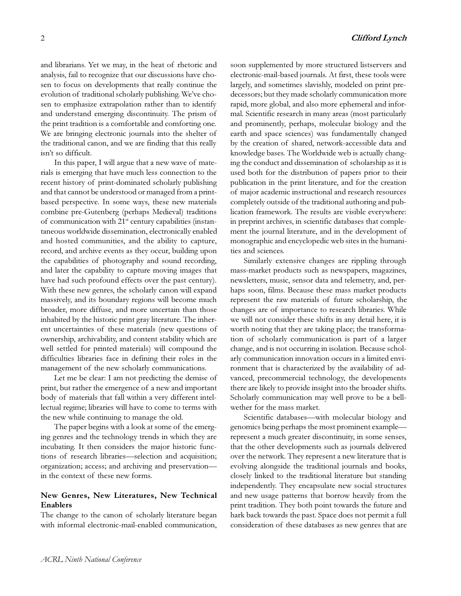and librarians. Yet we may, in the heat of rhetoric and analysis, fail to recognize that our discussions have chosen to focus on developments that really continue the evolution of traditional scholarly publishing. We've chosen to emphasize extrapolation rather than to identify and understand emerging discontinuity. The prism of the print tradition is a comfortable and comforting one. We are bringing electronic journals into the shelter of the traditional canon, and we are finding that this really isn't so difficult.

In this paper, I will argue that a new wave of materials is emerging that have much less connection to the recent history of print-dominated scholarly publishing and that cannot be understood or managed from a printbased perspective. In some ways, these new materials combine pre-Gutenberg (perhaps Medieval) traditions of communication with  $21<sup>st</sup>$  century capabilities (instantaneous worldwide dissemination, electronically enabled and hosted communities, and the ability to capture, record, and archive events as they occur, building upon the capabilities of photography and sound recording, and later the capability to capture moving images that have had such profound effects over the past century). With these new genres, the scholarly canon will expand massively, and its boundary regions will become much broader, more diffuse, and more uncertain than those inhabited by the historic print gray literature. The inherent uncertainties of these materials (new questions of ownership, archivability, and content stability which are well settled for printed materials) will compound the difficulties libraries face in defining their roles in the management of the new scholarly communications.

Let me be clear: I am not predicting the demise of print, but rather the emergence of a new and important body of materials that fall within a very different intellectual regime; libraries will have to come to terms with the new while continuing to manage the old.

The paper begins with a look at some of the emerging genres and the technology trends in which they are incubating. It then considers the major historic functions of research libraries-selection and acquisition; organization; access; and archiving and preservation in the context of these new forms.

# **New Genres, New Literatures, New Technical Enablers**

The change to the canon of scholarly literature began with informal electronic-mail-enabled communication,

soon supplemented by more structured listservers and electronic-mail-based journals. At first, these tools were largely, and sometimes slavishly, modeled on print predecessors; but they made scholarly communication more rapid, more global, and also more ephemeral and informal. Scientific research in many areas (most particularly and prominently, perhaps, molecular biology and the earth and space sciences) was fundamentally changed by the creation of shared, network-accessible data and knowledge bases. The Worldwide web is actually changing the conduct and dissemination of scholarship as it is used both for the distribution of papers prior to their publication in the print literature, and for the creation of major academic instructional and research resources completely outside of the traditional authoring and publication framework. The results are visible everywhere: in preprint archives, in scientific databases that complement the journal literature, and in the development of monographic and encyclopedic web sites in the humanities and sciences.

Similarly extensive changes are rippling through mass-market products such as newspapers, magazines, newsletters, music, sensor data and telemetry, and, perhaps soon, films. Because these mass market products represent the raw materials of future scholarship, the changes are of importance to research libraries. While we will not consider these shifts in any detail here, it is worth noting that they are taking place; the transformation of scholarly communication is part of a larger change, and is not occurring in isolation. Because scholarly communication innovation occurs in a limited environment that is characterized by the availability of advanced, precommercial technology, the developments there are likely to provide insight into the broader shifts. Scholarly communication may well prove to be a bellwether for the mass market.

Scientific databases-with molecular biology and genomics being perhaps the most prominent example represent a much greater discontinuity, in some senses, that the other developments such as journals delivered over the network. They represent a new literature that is evolving alongside the traditional journals and books, closely linked to the traditional literature but standing independently. They encapsulate new social structures and new usage patterns that borrow heavily from the print tradition. They both point towards the future and hark back towards the past. Space does not permit a full consideration of these databases as new genres that are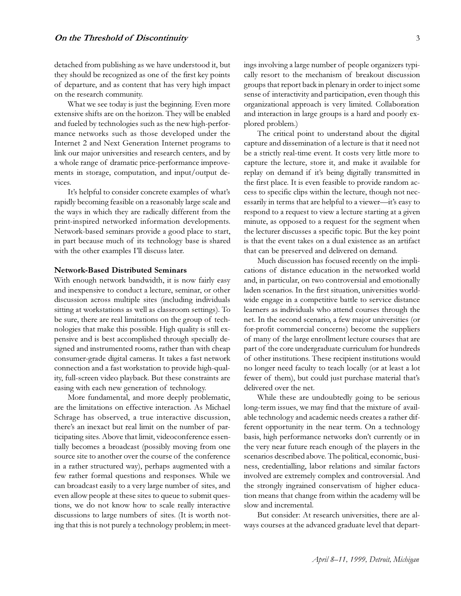detached from publishing as we have understood it, but they should be recognized as one of the first key points of departure, and as content that has very high impact on the research community.

What we see today is just the beginning. Even more extensive shifts are on the horizon. They will be enabled and fueled by technologies such as the new high-performance networks such as those developed under the Internet 2 and Next Generation Internet programs to link our major universities and research centers, and by a whole range of dramatic price-performance improvements in storage, computation, and input/output devices.

It's helpful to consider concrete examples of what's rapidly becoming feasible on a reasonably large scale and the ways in which they are radically different from the print-inspired networked information developments. Network-based seminars provide a good place to start, in part because much of its technology base is shared with the other examples I'll discuss later.

# **Network-Based Distributed Seminars**

With enough network bandwidth, it is now fairly easy and inexpensive to conduct a lecture, seminar, or other discussion across multiple sites (including individuals sitting at workstations as well as classroom settings). To be sure, there are real limitations on the group of technologies that make this possible. High quality is still expensive and is best accomplished through specially designed and instrumented rooms, rather than with cheap consumer-grade digital cameras. It takes a fast network connection and a fast workstation to provide high-quality, full-screen video playback. But these constraints are easing with each new generation of technology.

More fundamental, and more deeply problematic, are the limitations on effective interaction. As Michael Schrage has observed, a true interactive discussion, there's an inexact but real limit on the number of participating sites. Above that limit, videoconference essentially becomes a broadcast (possibly moving from one source site to another over the course of the conference in a rather structured way), perhaps augmented with a few rather formal questions and responses. While we can broadcast easily to a very large number of sites, and even allow people at these sites to queue to submit questions, we do not know how to scale really interactive discussions to large numbers of sites. (It is worth noting that this is not purely a technology problem; in meetings involving a large number of people organizers typically resort to the mechanism of breakout discussion groups that report back in plenary in order to inject some sense of interactivity and participation, even though this organizational approach is very limited. Collaboration and interaction in large groups is a hard and poorly explored problem.)

The critical point to understand about the digital capture and dissemination of a lecture is that it need not be a strictly real-time event. It costs very little more to capture the lecture, store it, and make it available for replay on demand if it's being digitally transmitted in the first place. It is even feasible to provide random access to specific clips within the lecture, though not necessarily in terms that are helpful to a viewer-it's easy to respond to a request to view a lecture starting at a given minute, as opposed to a request for the segment when the lecturer discusses a specific topic. But the key point is that the event takes on a dual existence as an artifact that can be preserved and delivered on demand.

Much discussion has focused recently on the implications of distance education in the networked world and, in particular, on two controversial and emotionally laden scenarios. In the first situation, universities worldwide engage in a competitive battle to service distance learners as individuals who attend courses through the net. In the second scenario, a few major universities (or for-profit commercial concerns) become the suppliers of many of the large enrollment lecture courses that are part of the core undergraduate curriculum for hundreds of other institutions. These recipient institutions would no longer need faculty to teach locally (or at least a lot fewer of them), but could just purchase material that's delivered over the net.

While these are undoubtedly going to be serious long-term issues, we may find that the mixture of available technology and academic needs creates a rather different opportunity in the near term. On a technology basis, high performance networks don't currently or in the very near future reach enough of the players in the scenarios described above. The political, economic, business, credentialling, labor relations and similar factors involved are extremely complex and controversial. And the strongly ingrained conservatism of higher education means that change from within the academy will be slow and incremental.

But consider: At research universities, there are always courses at the advanced graduate level that depart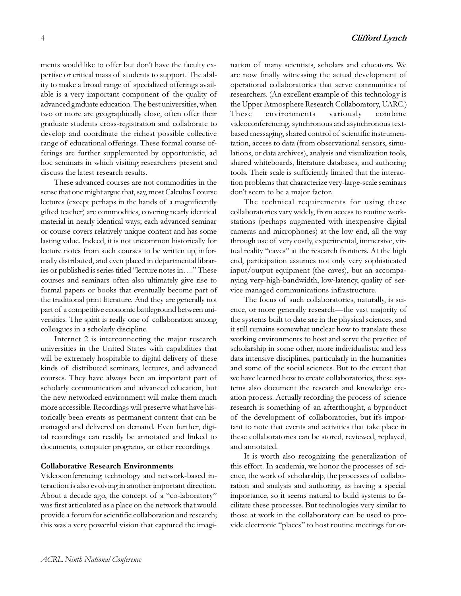ments would like to offer but don't have the faculty expertise or critical mass of students to support. The ability to make a broad range of specialized offerings available is a very important component of the quality of advanced graduate education. The best universities, when two or more are geographically close, often offer their graduate students cross-registration and collaborate to develop and coordinate the richest possible collective range of educational offerings. These formal course offerings are further supplemented by opportunistic, ad hoc seminars in which visiting researchers present and discuss the latest research results.

These advanced courses are not commodities in the sense that one might argue that, say, most Calculus I course lectures (except perhaps in the hands of a magnificently gifted teacher) are commodities, covering nearly identical material in nearly identical ways; each advanced seminar or course covers relatively unique content and has some lasting value. Indeed, it is not uncommon historically for lecture notes from such courses to be written up, informally distributed, and even placed in departmental libraries or published is series titled "lecture notes in...." These courses and seminars often also ultimately give rise to formal papers or books that eventually become part of the traditional print literature. And they are generally not part of a competitive economic battleground between universities. The spirit is really one of collaboration among colleagues in a scholarly discipline.

Internet 2 is interconnecting the major research universities in the United States with capabilities that will be extremely hospitable to digital delivery of these kinds of distributed seminars, lectures, and advanced courses. They have always been an important part of scholarly communication and advanced education, but the new networked environment will make them much more accessible. Recordings will preserve what have historically been events as permanent content that can be managed and delivered on demand. Even further, digital recordings can readily be annotated and linked to documents, computer programs, or other recordings.

## **Collaborative Research Environments**

Videoconferencing technology and network-based interaction is also evolving in another important direction. About a decade ago, the concept of a "co-laboratory" was first articulated as a place on the network that would provide a forum for scientific collaboration and research; this was a very powerful vision that captured the imagination of many scientists, scholars and educators. We are now finally witnessing the actual development of operational collaboratories that serve communities of researchers. (An excellent example of this technology is the Upper Atmosphere Research Collaboratory, UARC.) These environments variously combine videoconferencing, synchronous and asynchronous textbased messaging, shared control of scientific instrumentation, access to data (from observational sensors, simulations, or data archives), analysis and visualization tools, shared whiteboards, literature databases, and authoring tools. Their scale is sufficiently limited that the interaction problems that characterize very-large-scale seminars don't seem to be a major factor.

The technical requirements for using these collaboratories vary widely, from access to routine workstations (perhaps augmented with inexpensive digital cameras and microphones) at the low end, all the way through use of very costly, experimental, immersive, virtual reality "caves" at the research frontiers. At the high end, participation assumes not only very sophisticated input/output equipment (the caves), but an accompanying very-high-bandwidth, low-latency, quality of service managed communications infrastructure.

The focus of such collaboratories, naturally, is science, or more generally research-the vast majority of the systems built to date are in the physical sciences, and it still remains somewhat unclear how to translate these working environments to host and serve the practice of scholarship in some other, more individualistic and less data intensive disciplines, particularly in the humanities and some of the social sciences. But to the extent that we have learned how to create collaboratories, these systems also document the research and knowledge creation process. Actually recording the process of science research is something of an afterthought, a byproduct of the development of collaboratories, but it's important to note that events and activities that take place in these collaboratories can be stored, reviewed, replayed, and annotated.

It is worth also recognizing the generalization of this effort. In academia, we honor the processes of science, the work of scholarship, the processes of collaboration and analysis and authoring, as having a special importance, so it seems natural to build systems to facilitate these processes. But technologies very similar to those at work in the collaboratory can be used to provide electronic "places" to host routine meetings for or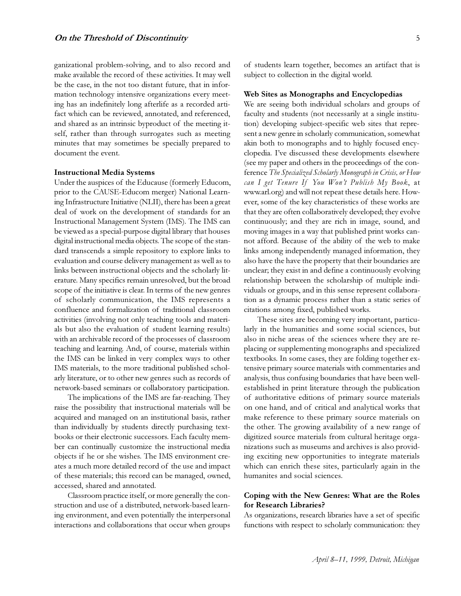ganizational problem-solving, and to also record and make available the record of these activities. It may well be the case, in the not too distant future, that in information technology intensive organizations every meeting has an indefinitely long afterlife as a recorded artifact which can be reviewed, annotated, and referenced, and shared as an intrinsic byproduct of the meeting itself, rather than through surrogates such as meeting minutes that may sometimes be specially prepared to document the event.

# **Instructional Media Systems**

Under the auspices of the Educause (formerly Educom, prior to the CAUSE-Educom merger) National Learning Infrastructure Initiative (NLII), there has been a great deal of work on the development of standards for an Instructional Management System (IMS). The IMS can be viewed as a special-purpose digital library that houses digital instructional media objects. The scope of the standard transcends a simple repository to explore links to evaluation and course delivery management as well as to links between instructional objects and the scholarly literature. Many specifics remain unresolved, but the broad scope of the initiative is clear. In terms of the new genres of scholarly communication, the IMS represents a confluence and formalization of traditional classroom activities (involving not only teaching tools and materials but also the evaluation of student learning results) with an archivable record of the processes of classroom teaching and learning. And, of course, materials within the IMS can be linked in very complex ways to other IMS materials, to the more traditional published scholarly literature, or to other new genres such as records of network-based seminars or collaboratory participation.

The implications of the IMS are far-reaching. They raise the possibility that instructional materials will be acquired and managed on an institutional basis, rather than individually by students directly purchasing textbooks or their electronic successors. Each faculty member can continually customize the instructional media objects if he or she wishes. The IMS environment creates a much more detailed record of the use and impact of these materials; this record can be managed, owned, accessed, shared and annotated.

Classroom practice itself, or more generally the construction and use of a distributed, network-based learning environment, and even potentially the interpersonal interactions and collaborations that occur when groups

of students learn together, becomes an artifact that is subject to collection in the digital world.

#### **Web Sites as Monographs and Encyclopedias**

We are seeing both individual scholars and groups of faculty and students (not necessarily at a single institution) developing subject-specific web sites that represent a new genre in scholarly communication, somewhat akin both to monographs and to highly focused encyclopedia. Ive discussed these developments elsewhere (see my paper and others in the proceedings of the conference *The Specialized Scholarly Monograph in Crisis, or How can I get Tenure If You Wont Publish My Book*, at www.arl.org) and will not repeat these details here. However, some of the key characteristics of these works are that they are often collaboratively developed; they evolve continuously; and they are rich in image, sound, and moving images in a way that published print works cannot afford. Because of the ability of the web to make links among independently managed information, they also have the have the property that their boundaries are unclear; they exist in and define a continuously evolving relationship between the scholarship of multiple individuals or groups, and in this sense represent collaboration as a dynamic process rather than a static series of citations among fixed, published works.

These sites are becoming very important, particularly in the humanities and some social sciences, but also in niche areas of the sciences where they are replacing or supplementing monographs and specialized textbooks. In some cases, they are folding together extensive primary source materials with commentaries and analysis, thus confusing boundaries that have been wellestablished in print literature through the publication of authoritative editions of primary source materials on one hand, and of critical and analytical works that make reference to these primary source materials on the other. The growing availability of a new range of digitized source materials from cultural heritage organizations such as museums and archives is also providing exciting new opportunities to integrate materials which can enrich these sites, particularly again in the humanites and social sciences.

# **Coping with the New Genres: What are the Roles for Research Libraries?**

As organizations, research libraries have a set of specific functions with respect to scholarly communication: they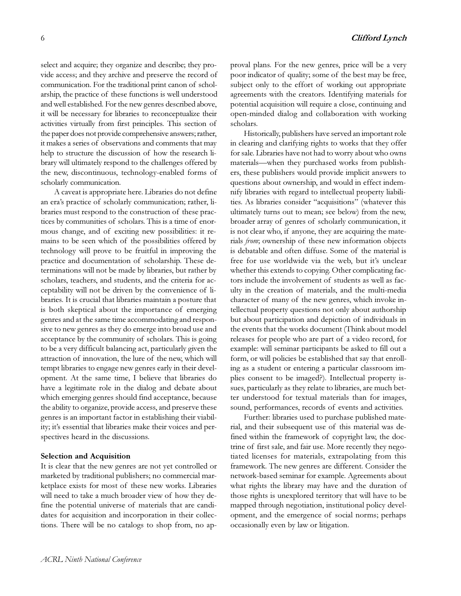select and acquire; they organize and describe; they provide access; and they archive and preserve the record of communication. For the traditional print canon of scholarship, the practice of these functions is well understood and well established. For the new genres described above, it will be necessary for libraries to reconceptualize their activities virtually from first principles. This section of the paper does not provide comprehensive answers; rather, it makes a series of observations and comments that may help to structure the discussion of how the research library will ultimately respond to the challenges offered by the new, discontinuous, technology-enabled forms of scholarly communication.

A caveat is appropriate here. Libraries do not define an era's practice of scholarly communication; rather, libraries must respond to the construction of these practices by communities of scholars. This is a time of enormous change, and of exciting new possibilities: it remains to be seen which of the possibilities offered by technology will prove to be fruitful in improving the practice and documentation of scholarship. These determinations will not be made by libraries, but rather by scholars, teachers, and students, and the criteria for acceptability will not be driven by the convenience of libraries. It is crucial that libraries maintain a posture that is both skeptical about the importance of emerging genres and at the same time accommodating and responsive to new genres as they do emerge into broad use and acceptance by the community of scholars. This is going to be a very difficult balancing act, particularly given the attraction of innovation, the lure of the new, which will tempt libraries to engage new genres early in their development. At the same time, I believe that libraries do have a legitimate role in the dialog and debate about which emerging genres should find acceptance, because the ability to organize, provide access, and preserve these genres is an important factor in establishing their viability; it's essential that libraries make their voices and perspectives heard in the discussions.

# **Selection and Acquisition**

It is clear that the new genres are not yet controlled or marketed by traditional publishers; no commercial marketplace exists for most of these new works. Libraries will need to take a much broader view of how they define the potential universe of materials that are candidates for acquisition and incorporation in their collections. There will be no catalogs to shop from, no approval plans. For the new genres, price will be a very poor indicator of quality; some of the best may be free, subject only to the effort of working out appropriate agreements with the creators. Identifying materials for potential acquisition will require a close, continuing and open-minded dialog and collaboration with working scholars.

Historically, publishers have served an important role in clearing and clarifying rights to works that they offer for sale. Libraries have not had to worry about who owns materials—when they purchased works from publishers, these publishers would provide implicit answers to questions about ownership, and would in effect indemnify libraries with regard to intellectual property liabilities. As libraries consider "acquisitions" (whatever this ultimately turns out to mean; see below) from the new, broader array of genres of scholarly communication, it is not clear who, if anyone, they are acquiring the materials *from*; ownership of these new information objects is debatable and often diffuse. Some of the material is free for use worldwide via the web, but it's unclear whether this extends to copying. Other complicating factors include the involvement of students as well as faculty in the creation of materials, and the multi-media character of many of the new genres, which invoke intellectual property questions not only about authorship but about participation and depiction of individuals in the events that the works document (Think about model releases for people who are part of a video record, for example: will seminar participants be asked to fill out a form, or will policies be established that say that enrolling as a student or entering a particular classroom implies consent to be imaged?). Intellectual property issues, particularly as they relate to libraries, are much better understood for textual materials than for images, sound, performances, records of events and activities.

Further: libraries used to purchase published material, and their subsequent use of this material was defined within the framework of copyright law, the doctrine of first sale, and fair use. More recently they negotiated licenses for materials, extrapolating from this framework. The new genres are different. Consider the network-based seminar for example. Agreements about what rights the library may have and the duration of those rights is unexplored territory that will have to be mapped through negotiation, institutional policy development, and the emergence of social norms; perhaps occasionally even by law or litigation.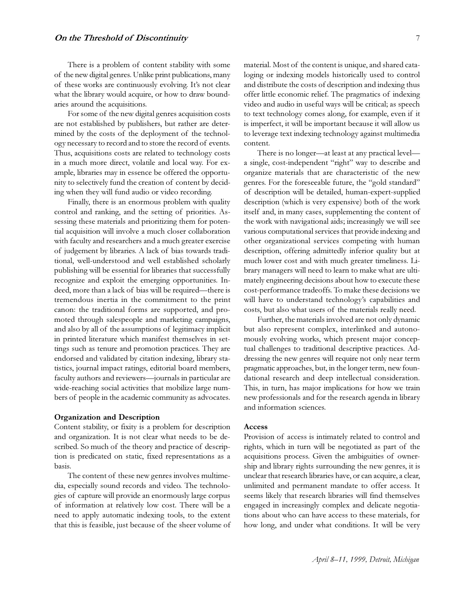There is a problem of content stability with some of the new digital genres. Unlike print publications, many of these works are continuously evolving. It's not clear what the library would acquire, or how to draw boundaries around the acquisitions.

For some of the new digital genres acquisition costs are not established by publishers, but rather are determined by the costs of the deployment of the technology necessary to record and to store the record of events. Thus, acquisitions costs are related to technology costs in a much more direct, volatile and local way. For example, libraries may in essence be offered the opportunity to selectively fund the creation of content by deciding when they will fund audio or video recording.

Finally, there is an enormous problem with quality control and ranking, and the setting of priorities. Assessing these materials and prioritizing them for potential acquisition will involve a much closer collaboration with faculty and researchers and a much greater exercise of judgement by libraries. A lack of bias towards traditional, well-understood and well established scholarly publishing will be essential for libraries that successfully recognize and exploit the emerging opportunities. Indeed, more than a lack of bias will be required—there is tremendous inertia in the commitment to the print canon: the traditional forms are supported, and promoted through salespeople and marketing campaigns, and also by all of the assumptions of legitimacy implicit in printed literature which manifest themselves in settings such as tenure and promotion practices. They are endorsed and validated by citation indexing, library statistics, journal impact ratings, editorial board members, faculty authors and reviewers-journals in particular are wide-reaching social activities that mobilize large numbers of people in the academic community as advocates.

# **Organization and Description**

Content stability, or fixity is a problem for description and organization. It is not clear what needs to be described. So much of the theory and practice of description is predicated on static, fixed representations as a basis.

The content of these new genres involves multimedia, especially sound records and video. The technologies of capture will provide an enormously large corpus of information at relatively low cost. There will be a need to apply automatic indexing tools, to the extent that this is feasible, just because of the sheer volume of material. Most of the content is unique, and shared cataloging or indexing models historically used to control and distribute the costs of description and indexing thus offer little economic relief. The pragmatics of indexing video and audio in useful ways will be critical; as speech to text technology comes along, for example, even if it is imperfect, it will be important because it will allow us to leverage text indexing technology against multimedia content.

There is no longer-at least at any practical levela single, cost-independent "right" way to describe and organize materials that are characteristic of the new genres. For the foreseeable future, the "gold standard" of description will be detailed, human-expert-supplied description (which is very expensive) both of the work itself and, in many cases, supplementing the content of the work with navigational aids; increasingly we will see various computational services that provide indexing and other organizational services competing with human description, offering admittedly inferior quality but at much lower cost and with much greater timeliness. Library managers will need to learn to make what are ultimately engineering decisions about how to execute these cost-performance tradeoffs. To make these decisions we will have to understand technology's capabilities and costs, but also what users of the materials really need.

Further, the materials involved are not only dynamic but also represent complex, interlinked and autonomously evolving works, which present major conceptual challenges to traditional descriptive practices. Addressing the new genres will require not only near term pragmatic approaches, but, in the longer term, new foundational research and deep intellectual consideration. This, in turn, has major implications for how we train new professionals and for the research agenda in library and information sciences.

#### **Access**

Provision of access is intimately related to control and rights, which in turn will be negotiated as part of the acquisitions process. Given the ambiguities of ownership and library rights surrounding the new genres, it is unclear that research libraries have, or can acquire, a clear, unlimited and permanent mandate to offer access. It seems likely that research libraries will find themselves engaged in increasingly complex and delicate negotiations about who can have access to these materials, for how long, and under what conditions. It will be very